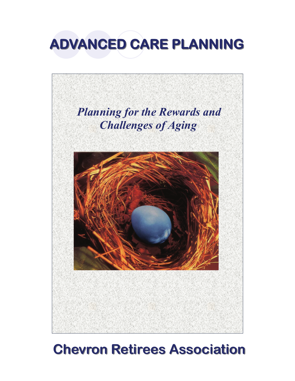



# **Chevron Retirees Association Chevron Retirees Association**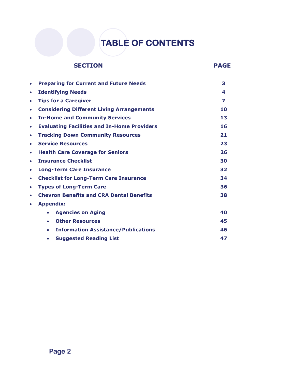## **TABLE OF CONTENTS**

### **SECTION PAGE**

| $\bullet$ | <b>Preparing for Current and Future Needs</b>           | 3  |
|-----------|---------------------------------------------------------|----|
| $\bullet$ | <b>Identifying Needs</b>                                | 4  |
| $\bullet$ | <b>Tips for a Caregiver</b>                             | 7  |
| $\bullet$ | <b>Considering Different Living Arrangements</b>        | 10 |
| $\bullet$ | <b>In-Home and Community Services</b>                   | 13 |
| $\bullet$ | <b>Evaluating Facilities and In-Home Providers</b>      | 16 |
| $\bullet$ | <b>Tracking Down Community Resources</b>                | 21 |
| $\bullet$ | <b>Service Resources</b>                                | 23 |
| $\bullet$ | <b>Health Care Coverage for Seniors</b>                 | 26 |
| $\bullet$ | <b>Insurance Checklist</b>                              | 30 |
| $\bullet$ | <b>Long-Term Care Insurance</b>                         | 32 |
| $\bullet$ | <b>Checklist for Long-Term Care Insurance</b>           | 34 |
| $\bullet$ | <b>Types of Long-Term Care</b>                          | 36 |
| ۰         | <b>Chevron Benefits and CRA Dental Benefits</b>         | 38 |
| $\bullet$ | <b>Appendix:</b>                                        |    |
|           | <b>Agencies on Aging</b><br>$\bullet$                   | 40 |
|           | <b>Other Resources</b><br>$\bullet$                     | 45 |
|           | <b>Information Assistance/Publications</b><br>$\bullet$ | 46 |
|           | <b>Suggested Reading List</b><br>$\bullet$              | 47 |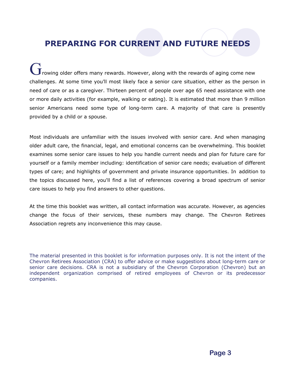### **PREPARING FOR CURRENT AND FUTURE NEEDS**

 $\bf J$ rowing older offers many rewards. However, along with the rewards of aging come new challenges. At some time you'll most likely face a senior care situation, either as the person in need of care or as a caregiver. Thirteen percent of people over age 65 need assistance with one or more daily activities (for example, walking or eating). It is estimated that more than 9 million senior Americans need some type of long-term care. A majority of that care is presently provided by a child or a spouse.

Most individuals are unfamiliar with the issues involved with senior care. And when managing older adult care, the financial, legal, and emotional concerns can be overwhelming. This booklet examines some senior care issues to help you handle current needs and plan for future care for yourself or a family member including: identification of senior care needs; evaluation of different types of care; and highlights of government and private insurance opportunities. In addition to the topics discussed here, you'll find a list of references covering a broad spectrum of senior care issues to help you find answers to other questions.

At the time this booklet was written, all contact information was accurate. However, as agencies change the focus of their services, these numbers may change. The Chevron Retirees Association regrets any inconvenience this may cause.

The material presented in this booklet is for information purposes only. It is not the intent of the Chevron Retirees Association (CRA) to offer advice or make suggestions about long-term care or senior care decisions. CRA is not a subsidiary of the Chevron Corporation (Chevron) but an independent organization comprised of retired employees of Chevron or its predecessor companies.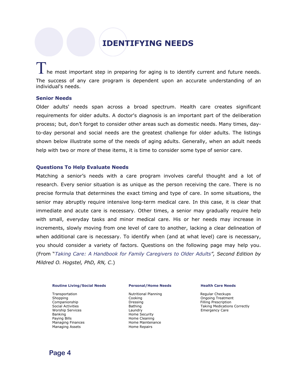### **IDENTIFYING NEEDS**

### $\blacksquare$  he most important step in preparing for aging is to identify current and future needs. The success of any care program is dependent upon an accurate understanding of an individual's needs.

#### **Senior Needs**

Older adults' needs span across a broad spectrum. Health care creates significant requirements for older adults. A doctor's diagnosis is an important part of the deliberation process; but, don't forget to consider other areas such as domestic needs. Many times, dayto-day personal and social needs are the greatest challenge for older adults. The listings shown below illustrate some of the needs of aging adults. Generally, when an adult needs help with two or more of these items, it is time to consider some type of senior care.

#### **Questions To Help Evaluate Needs**

Matching a senior's needs with a care program involves careful thought and a lot of research. Every senior situation is as unique as the person receiving the care. There is no precise formula that determines the exact timing and type of care. In some situations, the senior may abruptly require intensive long-term medical care. In this case, it is clear that immediate and acute care is necessary. Other times, a senior may gradually require help with small, everyday tasks and minor medical care. His or her needs may increase in increments, slowly moving from one level of care to another, lacking a clear delineation of when additional care is necessary. To identify when (and at what level) care is necessary, you should consider a variety of factors. Questions on the following page may help you. (From "*Taking Care: A Handbook for Family Caregivers to Older Adults", Second Edition by Mildred O. Hogstel, PhD, RN, C*.)

#### **Routine Living/Social Needs**

Transportation Shopping Companionship Social Activities Worship Services Banking Paying Bills Managing Finances Managing Assets

#### **Personal/Home Needs**

Nutritional Planning Cooking Dressing Bathing Laundry Home Security Home Cleaning Home Maintenance Home Repairs

#### **Health Care Needs**

Regular Checkups Ongoing Treatment Filling Prescription Taking Medications Correctly Emergency Care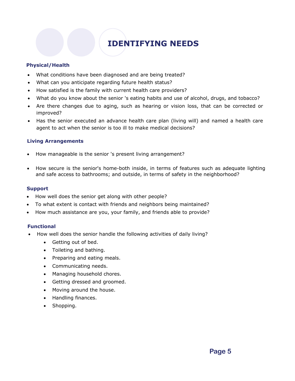## **IDENTIFYING NEEDS**

### **Physical/Health**

- What conditions have been diagnosed and are being treated?
- What can you anticipate regarding future health status?
- How satisfied is the family with current health care providers?
- What do you know about the senior 's eating habits and use of alcohol, drugs, and tobacco?
- Are there changes due to aging, such as hearing or vision loss, that can be corrected or improved?
- Has the senior executed an advance health care plan (living will) and named a health care agent to act when the senior is too ill to make medical decisions?

### **Living Arrangements**

- How manageable is the senior 's present living arrangement?
- How secure is the senior's home-both inside, in terms of features such as adequate lighting and safe access to bathrooms; and outside, in terms of safety in the neighborhood?

### **Support**

- How well does the senior get along with other people?
- To what extent is contact with friends and neighbors being maintained?
- How much assistance are you, your family, and friends able to provide?

### **Functional**

- How well does the senior handle the following activities of daily living?
	- Getting out of bed.
	- Toileting and bathing.
	- Preparing and eating meals.
	- Communicating needs.
	- Managing household chores.
	- Getting dressed and groomed.
	- Moving around the house.
	- Handling finances.
	- Shopping.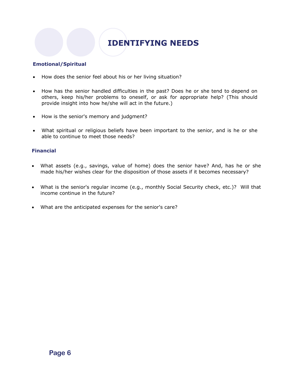### **IDENTIFYING NEEDS**

### **Emotional/Spiritual**

- How does the senior feel about his or her living situation?
- How has the senior handled difficulties in the past? Does he or she tend to depend on others, keep his/her problems to oneself, or ask for appropriate help? (This should provide insight into how he/she will act in the future.)
- How is the senior's memory and judgment?
- What spiritual or religious beliefs have been important to the senior, and is he or she able to continue to meet those needs?

### **Financial**

- What assets (e.g., savings, value of home) does the senior have? And, has he or she made his/her wishes clear for the disposition of those assets if it becomes necessary?
- What is the senior's regular income (e.g., monthly Social Security check, etc.)? Will that income continue in the future?
- What are the anticipated expenses for the senior's care?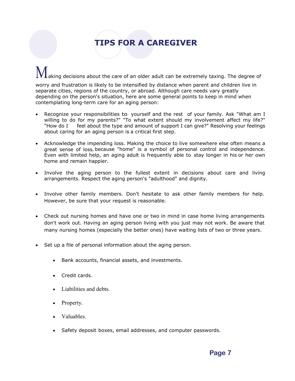## **TIPS FOR A CAREGIVER**

### aking decisions about the care of an older adult can be extremely taxing. The degree of worry and frustration is likely to be intensified by distance when parent and children live in separate cities, regions of the country, or abroad. Although care needs vary greatly depending on the person's situation, here are some general points to keep in mind when contemplating long-term care for an aging person:

- Recognize your responsibilities to yourself and the rest of your family. Ask "What am I willing to do for my parents?" "To what extent should my involvement affect my life?" "How do I feel about the type and amount of support I can give?" Resolving your feelings about caring for an aging person is a critical first step.
- Acknowledge the impending loss. Making the choice to live somewhere else often means a great sense of loss, because "home" is a symbol of personal control and independence. Even with limited help, an aging adult is frequently able to stay longer in his or her own home and remain happier.
- Involve the aging person to the fullest extent in decisions about care and living arrangements. Respect the aging person's "adulthood" and dignity.
- Involve other family members. Don't hesitate to ask other family members for help. However, be sure that your request is reasonable.
- Check out nursing homes and have one or two in mind in case home living arrangements don't work out. Having an aging person living with you just may not work. Be aware that many nursing homes (especially the better ones) have waiting lists of two or three years.
- Set up a file of personal information about the aging person.
	- Bank accounts, financial assets, and investments.
	- Credit cards.
	- Liabilities and debts.
	- Property.
	- Valuables.
	- Safety deposit boxes, email addresses, and computer passwords.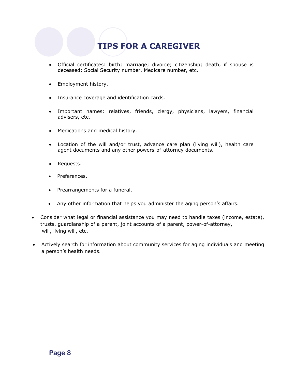## **TIPS FOR A CAREGIVER**

- Official certificates: birth; marriage; divorce; citizenship; death, if spouse is deceased; Social Security number, Medicare number, etc.
- Employment history.
- Insurance coverage and identification cards.
- Important names: relatives, friends, clergy, physicians, lawyers, financial advisers, etc.
- Medications and medical history.
- Location of the will and/or trust, advance care plan (living will), health care agent documents and any other powers-of-attorney documents.
- Requests.
- Preferences.
- Prearrangements for a funeral.
- Any other information that helps you administer the aging person's affairs.
- Consider what legal or financial assistance you may need to handle taxes (income, estate), trusts, guardianship of a parent, joint accounts of a parent, power-of-attorney, will, living will, etc.
- Actively search for information about community services for aging individuals and meeting a person's health needs.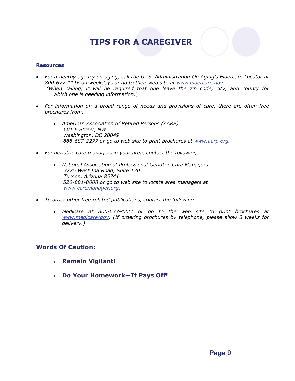### **TIPS FOR A CAREGIVER**

### **Resources**

- *For a nearby agency on aging, call the U. S. Administration On Aging's Eldercare Locator at 800-677-1116 on weekdays or go to their web site at [www.eldercare.gov](http://www.eldercare.gov/). (When calling, it will be required that one leave the zip code, city, and county for which one is needing information.)*
- *For information on a broad range of needs and provisions of care, there are often free brochures from:* 
	- *American Association of Retired Persons (AARP) 601 E Street, NW Washington, DC 20049 888-687-2277 or go to web site to print brochures at [www.aarp.org](http://www.aarp.org/).*
- *For geriatric care managers in your area, contact the following:* 
	- *National Association of Professional Geriatric Care Managers 3275 West Ina Road, Suite 130 Tucson, Arizona 85741 520-881-8008 or go to web site to locate area managers at [www.caremanager.org](http://www.caremanager.org/).*
- *To order other free related publications, contact the following:* 
	- *Medicare at 800-633-4227 or go to the web site to print brochures at [www.medicare/gov](http://www.medicare/gov). (If ordering brochures by telephone, please allow 3 weeks for delivery.)*

### **Words Of Caution:**

- **Remain Vigilant!**
- **Do Your Homework—It Pays Off!**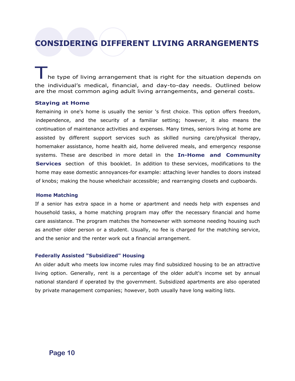### **CONSIDERING DIFFERENT LIVING ARRANGEMENTS**

he type of living arrangement that is right for the situation depends on the individual's medical, financial, and day-to-day needs. Outlined below are the most common aging adult living arrangements, and general costs.

### **Staying at Home**

Remaining in one's home is usually the senior 's first choice. This option offers freedom, independence, and the security of a familiar setting; however, it also means the continuation of maintenance activities and expenses. Many times, seniors living at home are assisted by different support services such as skilled nursing care/physical therapy, homemaker assistance, home health aid, home delivered meals, and emergency response systems. These are described in more detail in the **In-Home and Community Services** section of this booklet. In addition to these services, modifications to the home may ease domestic annoyances-for example: attaching lever handles to doors instead of knobs; making the house wheelchair accessible; and rearranging closets and cupboards.

#### **Home Matching**

If a senior has extra space in a home or apartment and needs help with expenses and household tasks, a home matching program may offer the necessary financial and home care assistance. The program matches the homeowner with someone needing housing such as another older person or a student. Usually, no fee is charged for the matching service, and the senior and the renter work out a financial arrangement.

#### **Federally Assisted "Subsidized" Housing**

An older adult who meets low income rules may find subsidized housing to be an attractive living option. Generally, rent is a percentage of the older adult's income set by annual national standard if operated by the government. Subsidized apartments are also operated by private management companies; however, both usually have long waiting lists.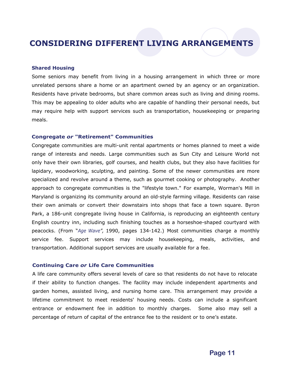### **CONSIDERING DIFFERENT LIVING ARRANGEMENTS**

#### **Shared Housing**

Some seniors may benefit from living in a housing arrangement in which three or more unrelated persons share a home or an apartment owned by an agency or an organization. Residents have private bedrooms, but share common areas such as living and dining rooms. This may be appealing to older adults who are capable of handling their personal needs, but may require help with support services such as transportation, housekeeping or preparing meals.

#### **Congregate** *or* **"Retirement" Communities**

Congregate communities are multi-unit rental apartments or homes planned to meet a wide range of interests and needs. Large communities such as Sun City and Leisure World not only have their own libraries, golf courses, and health clubs, but they also have facilities for lapidary, woodworking, sculpting, and painting. Some of the newer communities are more specialized and revolve around a theme, such as gourmet cooking or photography. Another approach to congregate communities is the "lifestyle town." For example, Worman's Mill in Maryland is organizing its community around an old-style farming village. Residents can raise their own animals or convert their downstairs into shops that face a town square. Byron Park, a 186-unit congregate living house in California, is reproducing an eighteenth century English country inn, including such finishing touches as a horseshoe-shaped courtyard with peacocks. (From "*Age Wave",* 1990, pages 134-142.) Most communities charge a monthly service fee. Support services may include housekeeping, meals, activities, and transportation. Additional support services are usually available for a fee.

#### **Continuing Care** *or* **Life Care Communities**

A life care community offers several levels of care so that residents do not have to relocate if their ability to function changes. The facility may include independent apartments and garden homes, assisted living, and nursing home care. This arrangement may provide a lifetime commitment to meet residents' housing needs. Costs can include a significant entrance or endowment fee in addition to monthly charges. Some also may sell a percentage of return of capital of the entrance fee to the resident or to one's estate.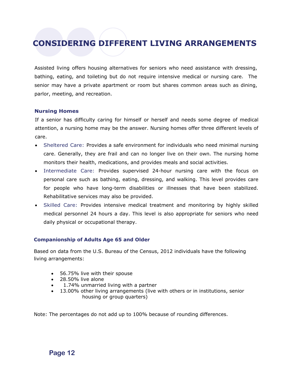### **CONSIDERING DIFFERENT LIVING ARRANGEMENTS**

Assisted living offers housing alternatives for seniors who need assistance with dressing, bathing, eating, and toileting but do not require intensive medical or nursing care. The senior may have a private apartment or room but shares common areas such as dining, parlor, meeting, and recreation.

### **Nursing Homes**

If a senior has difficulty caring for himself or herself and needs some degree of medical attention, a nursing home may be the answer. Nursing homes offer three different levels of care.

- Sheltered Care: Provides a safe environment for individuals who need minimal nursing care. Generally, they are frail and can no longer live on their own. The nursing home monitors their health, medications, and provides meals and social activities.
- Intermediate Care: Provides supervised 24-hour nursing care with the focus on personal care such as bathing, eating, dressing, and walking. This level provides care for people who have long-term disabilities or illnesses that have been stabilized. Rehabilitative services may also be provided.
- Skilled Care: Provides intensive medical treatment and monitoring by highly skilled medical personnel 24 hours a day. This level is also appropriate for seniors who need daily physical or occupational therapy.

### **Companionship of Adults Age 65 and Older**

Based on data from the U.S. Bureau of the Census, 2012 individuals have the following living arrangements:

- 56.75% live with their spouse
- 28.50% live alone
- 1.74% unmarried living with a partner
- 13.00% other living arrangements (live with others or in institutions, senior housing or group quarters)

Note: The percentages do not add up to 100% because of rounding differences.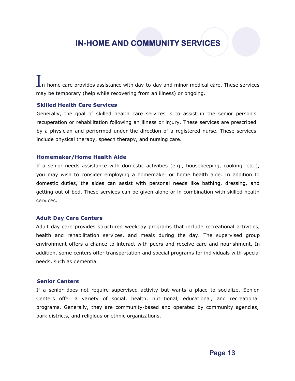### **IN-HOME AND COMMUNITY SERVICES**

-home care provides assistance with day-to-day and minor medical care. These services may be temporary (help while recovering from an illness) or ongoing.

#### **Skilled Health Care Services**

Generally, the goal of skilled health care services is to assist in the senior person's recuperation or rehabilitation following an illness or injury. These services are prescribed by a physician and performed under the direction of a registered nurse. These services include physical therapy, speech therapy, and nursing care.

#### **Homemaker/Home Health Aide**

If a senior needs assistance with domestic activities (e.g., housekeeping, cooking, etc.), you may wish to consider employing a homemaker or home health aide. In addition to domestic duties, the aides can assist with personal needs like bathing, dressing, and getting out of bed. These services can be given alone or in combination with skilled health services.

#### **Adult Day Care Centers**

Adult day care provides structured weekday programs that include recreational activities, health and rehabilitation services, and meals during the day. The supervised group environment offers a chance to interact with peers and receive care and nourishment. In addition, some centers offer transportation and special programs for individuals with special needs, such as dementia.

### **Senior Centers**

If a senior does not require supervised activity but wants a place to socialize, Senior Centers offer a variety of social, health, nutritional, educational, and recreational programs. Generally, they are community-based and operated by community agencies, park districts, and religious or ethnic organizations.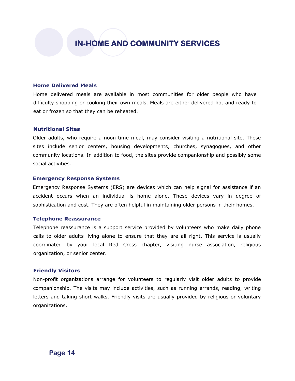### **IN-HOME AND COMMUNITY SERVICES**

#### **Home Delivered Meals**

Home delivered meals are available in most communities for older people who have difficulty shopping or cooking their own meals. Meals are either delivered hot and ready to eat or frozen so that they can be reheated.

#### **Nutritional Sites**

Older adults, who require a noon-time meal, may consider visiting a nutritional site. These sites include senior centers, housing developments, churches, synagogues, and other community locations. In addition to food, the sites provide companionship and possibly some social activities.

#### **Emergency Response Systems**

Emergency Response Systems (ERS) are devices which can help signal for assistance if an accident occurs when an individual is home alone. These devices vary in degree of sophistication and cost. They are often helpful in maintaining older persons in their homes.

#### **Telephone Reassurance**

Telephone reassurance is a support service provided by volunteers who make daily phone calls to older adults living alone to ensure that they are all right. This service is usually coordinated by your local Red Cross chapter, visiting nurse association, religious organization, or senior center.

#### **Friendly Visitors**

Non-profit organizations arrange for volunteers to regularly visit older adults to provide companionship. The visits may include activities, such as running errands, reading, writing letters and taking short walks. Friendly visits are usually provided by religious or voluntary organizations.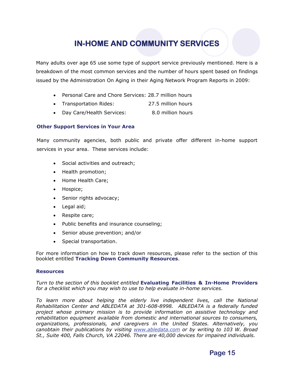### **IN-HOME AND COMMUNITY SERVICES**

Many adults over age 65 use some type of support service previously mentioned. Here is a breakdown of the most common services and the number of hours spent based on findings issued by the Administration On Aging in their Aging Network Program Reports in 2009:

- Personal Care and Chore Services: 28.7 million hours
- Transportation Rides: 27.5 million hours
- Day Care/Health Services: 8.0 million hours

### **Other Support Services in Your Area**

Many community agencies, both public and private offer different in-home support services in your area. These services include:

- Social activities and outreach;
- Health promotion;
- Home Health Care;
- Hospice;
- Senior rights advocacy;
- Legal aid;
- Respite care;
- Public benefits and insurance counseling;
- Senior abuse prevention; and/or
- Special transportation.

For more information on how to track down resources, please refer to the section of this booklet entitled **Tracking Down Community Resources**.

### **Resources**

*Turn to the section of this booklet entitled* **Evaluating Facilities & In-Home Providers**  *for a checklist which you may wish to use to help evaluate in-home services.* 

To learn more about helping the elderly live independent lives, call the National *Rehabilitation Center and ABLEDATA at 301-608-8998. ABLEDATA is a federally funded project whose primary mission is to provide information on assistive technology and rehabilitation equipment available from domestic and international sources to consumers, organizations, professionals, and caregivers in the United States. Alternatively, you canobtain their publications by visiting [www.abledata.com](http://www.abledata.com/) or by writing to 103 W. Broad St., Suite 400, Falls Church, VA 22046. There are 40,000 devices for impaired individuals.*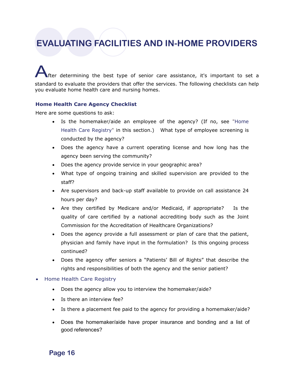fter determining the best type of senior care assistance, it's important to set a standard to evaluate the providers that offer the services. The following checklists can help you evaluate home health care and nursing homes.

#### **Home Health Care Agency Checklist**

Here are some questions to ask:

- Is the homemaker/aide an employee of the agency? (If no, see "Home Health Care Registry" in this section.) What type of employee screening is conducted by the agency?
- Does the agency have a current operating license and how long has the agency been serving the community?
- Does the agency provide service in your geographic area?
- What type of ongoing training and skilled supervision are provided to the staff?
- Are supervisors and back-up staff available to provide on call assistance 24 hours per day?
- Are they certified by Medicare and/or Medicaid, if appropriate? Is the quality of care certified by a national accrediting body such as the Joint Commission for the Accreditation of Healthcare Organizations?
- Does the agency provide a full assessment or plan of care that the patient, physician and family have input in the formulation? Is this ongoing process continued?
- Does the agency offer seniors a "Patients' Bill of Rights" that describe the rights and responsibilities of both the agency and the senior patient?

#### • Home Health Care Registry

- Does the agency allow you to interview the homemaker/aide?
- Is there an interview fee?
- Is there a placement fee paid to the agency for providing a homemaker/aide?
- Does the homemaker/aide have proper insurance and bonding and a list of good references?

**Page 16**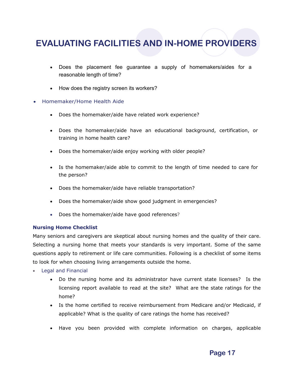- Does the placement fee guarantee a supply of homemakers/aides for a reasonable length of time?
- How does the registry screen its workers?
- Homemaker/Home Health Aide
	- Does the homemaker/aide have related work experience?
	- Does the homemaker/aide have an educational background, certification, or training in home health care?
	- Does the homemaker/aide enjoy working with older people?
	- Is the homemaker/aide able to commit to the length of time needed to care for the person?
	- Does the homemaker/aide have reliable transportation?
	- Does the homemaker/aide show good judgment in emergencies?
	- Does the homemaker/aide have good references?

### **Nursing Home Checklist**

Many seniors and caregivers are skeptical about nursing homes and the quality of their care. Selecting a nursing home that meets your standards is very important. Some of the same questions apply to retirement or life care communities. Following is a checklist of some items to look for when choosing living arrangements outside the home.

- Legal and Financial
	- Do the nursing home and its administrator have current state licenses? Is the licensing report available to read at the site? What are the state ratings for the home?
	- Is the home certified to receive reimbursement from Medicare and/or Medicaid, if applicable? What is the quality of care ratings the home has received?
	- Have you been provided with complete information on charges, applicable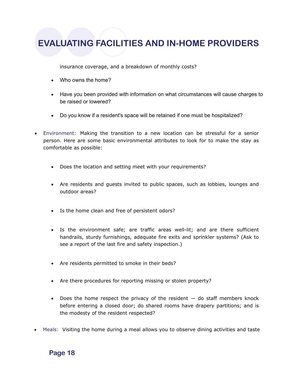insurance coverage, and a breakdown of monthly costs?

- Who owns the home?
- Have you been provided with information on what circumstances will cause charges to be raised or lowered?
- Do you know if a resident's space will be retained if one must be hospitalized?
- Environment: Making the transition to a new location can be stressful for a senior person. Here are some basic environmental attributes to look for to make the stay as comfortable as possible:
	- Does the location and setting meet with your requirements?
	- Are residents and guests invited to public spaces, such as lobbies, lounges and outdoor areas?
	- Is the home clean and free of persistent odors?
	- Is the environment safe; are traffic areas well-lit; and are there sufficient handrails, sturdy furnishings, adequate fire exits and sprinkler systems? (Ask to see a report of the last fire and safety inspection.)
	- Are residents permitted to smoke in their beds?
	- Are there procedures for reporting missing or stolen property?
	- $\bullet$  Does the home respect the privacy of the resident  $-$  do staff members knock before entering a closed door; do shared rooms have drapery partitions; and is the modesty of the resident respected?
- Meals: Visiting the home during a meal allows you to observe dining activities and taste

### **Page 18**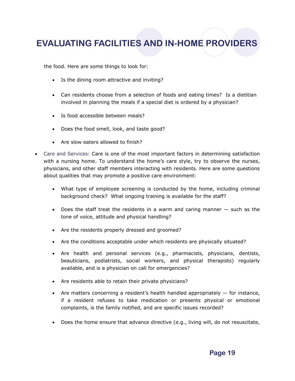the food. Here are some things to look for:

- Is the dining room attractive and inviting?
- Can residents choose from a selection of foods and eating times? Is a dietitian involved in planning the meals if a special diet is ordered by a physician?
- Is food accessible between meals?
- Does the food smell, look, and taste good?
- Are slow eaters allowed to finish?
- Care and Services: Care is one of the most important factors in determining satisfaction with a nursing home. To understand the home's care style, try to observe the nurses, physicians, and other staff members interacting with residents. Here are some questions about qualities that may promote a positive care environment:
	- What type of employee screening is conducted by the home, including criminal background check? What ongoing training is available for the staff?
	- Does the staff treat the residents in a warm and caring manner  $-$  such as the tone of voice, attitude and physical handling?
	- Are the residents properly dressed and groomed?
	- Are the conditions acceptable under which residents are physically situated?
	- Are health and personal services (e.g., pharmacists, physicians, dentists, beauticians, podiatrists, social workers, and physical therapists) regularly available, and is a physician on call for emergencies?
	- Are residents able to retain their private physicians?
	- Are matters concerning a resident's health handled appropriately  $-$  for instance, if a resident refuses to take medication or presents physical or emotional complaints, is the family notified, and are specific issues recorded?
	- Does the home ensure that advance directive (e.g., living will, do not resuscitate,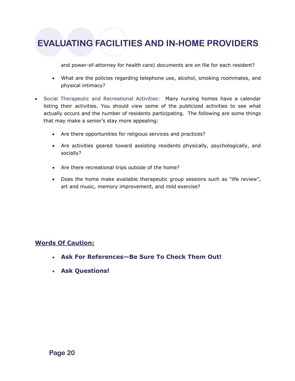and power-of-attorney for health care) documents are on file for each resident?

- What are the policies regarding telephone use, alcohol, smoking roommates, and physical intimacy?
- Social Therapeutic and Recreational Activities: Many nursing homes have a calendar listing their activities. You should view some of the publicized activities to see what actually occurs and the number of residents participating. The following are some things that may make a senior's stay more appealing:
	- Are there opportunities for religious services and practices?
	- Are activities geared toward assisting residents physically, psychologically, and socially?
	- Are there recreational trips outside of the home?
	- Does the home make available therapeutic group sessions such as "life review", art and music, memory improvement, and mild exercise?

### **Words Of Caution:**

- **Ask For References—Be Sure To Check Them Out!**
- **Ask Questions!**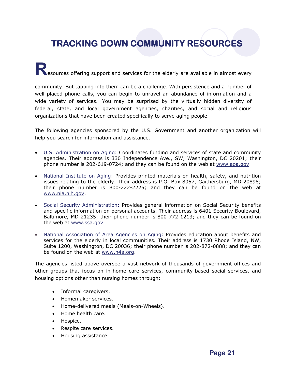## **TRACKING DOWN COMMUNITY RESOURCES**

**Resources offering support and services for the elderly are available in almost every** 

community. But tapping into them can be a challenge. With persistence and a number of well placed phone calls, you can begin to unravel an abundance of information and a wide variety of services. You may be surprised by the virtually hidden diversity of federal, state, and local government agencies, charities, and social and religious organizations that have been created specifically to serve aging people.

The following agencies sponsored by the U.S. Government and another organization will help you search for information and assistance.

- U.S. Administration on Aging: Coordinates funding and services of state and community agencies. Their address is 330 Independence Ave., SW, Washington, DC 20201; their phone number is 202-619-0724; and they can be found on the web at www.aoa.gov.
- National Institute on Aging: Provides printed materials on health, safety, and nutrition issues relating to the elderly. Their address is P.O. Box 8057, Gaithersburg, MD 20898; their phone number is 800-222-2225; and they can be found on the web at www.nia.nih.gov.
- Social Security Administration: Provides general information on Social Security benefits and specific information on personal accounts. Their address is 6401 Security Boulevard, Baltimore, MD 21235; their phone number is 800-772-1213; and they can be found on the web at www.ssa.gov.
- National Association of Area Agencies on Aging: Provides education about benefits and services for the elderly in local communities. Their address is 1730 Rhode Island, NW, Suite 1200, Washington, DC 20036; their phone number is 202-872-0888; and they can be found on the web at www.n4a.org.

The agencies listed above oversee a vast network of thousands of government offices and other groups that focus on in-home care services, community-based social services, and housing options other than nursing homes through:

- Informal caregivers.
- Homemaker services.
- Home-delivered meals (Meals-on-Wheels).
- Home health care.
- Hospice.
- Respite care services.
- Housing assistance.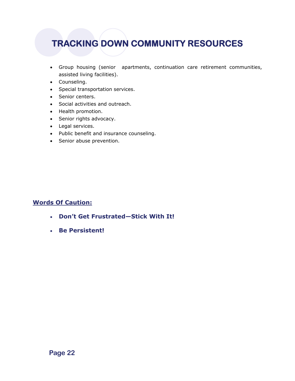## **TRACKING DOWN COMMUNITY RESOURCES**

- Group housing (senior apartments, continuation care retirement communities, assisted living facilities).
- Counseling.
- Special transportation services.
- Senior centers.
- Social activities and outreach.
- Health promotion.
- Senior rights advocacy.
- Legal services.
- Public benefit and insurance counseling.
- Senior abuse prevention.

### **Words Of Caution:**

- **Don't Get Frustrated—Stick With It!**
- **Be Persistent!**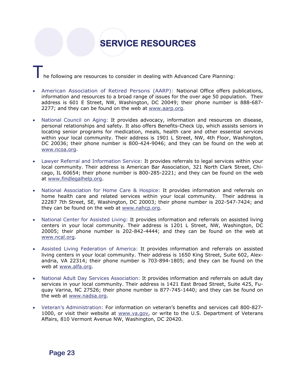## **SERVICE RESOURCES**

he following are resources to consider in dealing with Advanced Care Planning:

- American Association of Retired Persons (AARP): National Office offers publications, information and resources to a broad range of issues for the over age 50 population. Their address is 601 E Street, NW, Washington, DC 20049; their phone number is 888-687- 2277; and they can be found on the web at www.aarp.org.
- National Council on Aging: It provides advocacy, information and resources on disease, personal relationships and safety. It also offers Benefits-Check Up, which assists seniors in locating senior programs for medication, meals, health care and other essential services within your local community. Their address is 1901 L Street, NW, 4th Floor, Washington, DC 20036; their phone number is 800-424-9046; and they can be found on the web at www.ncoa.org.
- Lawyer Referral and Information Service: It provides referrals to legal services within your local community. Their address is American Bar Association, 321 North Clark Street, Chicago, IL 60654; their phone number is 800-285-2221; and they can be found on the web at www.findlegalhelp.org.
- National Association for Home Care & Hospice: It provides information and referrals on home health care and related services within your local community. Their address is 22287 7th Street, SE, Washington, DC 20003; their phone number is 202-547-7424; and they can be found on the web at www.nahcp.org.
- National Center for Assisted Living: It provides information and referrals on assisted living centers in your local community. Their address is 1201 L Street, NW, Washington, DC 20005; their phone number is 202-842-4444; and they can be found on the web at www.ncal.org.
- Assisted Living Federation of America: It provides information and referrals on assisted living centers in your local community. Their address is 1650 King Street, Suite 602, Alexandria, VA 22314; their phone number is 703-894-1805; and they can be found on the web at www.alfa.org.
- National Adult Day Services Association: It provides information and referrals on adult day services in your local community. Their address is 1421 East Broad Street, Suite 425, Fuquay Varina, NC 27526; their phone number is 877-745-1440; and they can be found on the web at www.nadsa.org.
- Veteran's Administration: For information on veteran's benefits and services call 800-827- 1000, or visit their website at www.va.gov, or write to the U.S. Department of Veterans Affairs, 810 Vermont Avenue NW, Washington, DC 20420.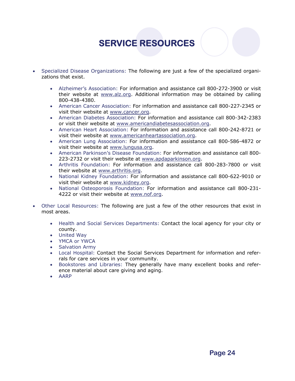## **SERVICE RESOURCES**

- Specialized Disease Organizations: The following are just a few of the specialized organizations that exist.
	- Alzheimer's Association: For information and assistance call 800-272-3900 or visit their website at www.alz.org. Additional information may be obtained by calling 800-438-4380.
	- American Cancer Association: For information and assistance call 800-227-2345 or visit their website at www.cancer.org.
	- American Diabetes Association: For information and assistance call 800-342-2383 or visit their website at www.americandiabetesassociation.org.
	- American Heart Association: For information and assistance call 800-242-8721 or visit their website at www.americanheartassociation.org.
	- American Lung Association: For information and assistance call 800-586-4872 or visit their website at www.lungusa.org.
	- American Parkinson's Disease Foundation: For information and assistance call 800- 223-2732 or visit their website at www.apdaparkinson.org.
	- Arthritis Foundation: For information and assistance call 800-283-7800 or visit their website at www.arthritis.org.
	- National Kidney Foundation: For information and assistance call 800-622-9010 or visit their website at www.kidney.org.
	- National Osteoporosis Foundation: For information and assistance call 800-231- 4222 or visit their website at www.nof.org.
- Other Local Resources: The following are just a few of the other resources that exist in most areas.
	- Health and Social Services Departments: Contact the local agency for your city or county.
	- United Way
	- YMCA or YWCA
	- Salvation Army
	- Local Hospital: Contact the Social Services Department for information and referrals for care services in your community.
	- Bookstores and Libraries: They generally have many excellent books and reference material about care giving and aging.
	- AARP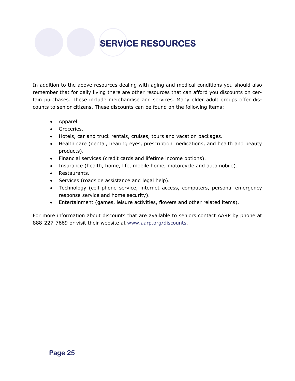## **SERVICE RESOURCES**

In addition to the above resources dealing with aging and medical conditions you should also remember that for daily living there are other resources that can afford you discounts on certain purchases. These include merchandise and services. Many older adult groups offer discounts to senior citizens. These discounts can be found on the following items:

- Apparel.
- **Groceries.**
- Hotels, car and truck rentals, cruises, tours and vacation packages.
- Health care (dental, hearing eyes, prescription medications, and health and beauty products).
- Financial services (credit cards and lifetime income options).
- Insurance (health, home, life, mobile home, motorcycle and automobile).
- Restaurants.
- Services (roadside assistance and legal help).
- Technology (cell phone service, internet access, computers, personal emergency response service and home security).
- Entertainment (games, leisure activities, flowers and other related items).

For more information about discounts that are available to seniors contact AARP by phone at 888-227-7669 or visit their website at www.aarp.org/discounts.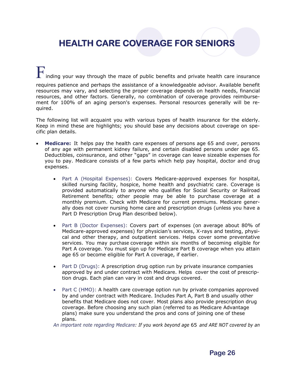nding your way through the maze of public benefits and private health care insurance requires patience and perhaps the assistance of a knowledgeable advisor. Available benefit resources may vary, and selecting the proper coverage depends on health needs, financial resources, and other factors. Generally, no combination of coverage provides reimbursement for 100% of an aging person's expenses. Personal resources generally will be required.

The following list will acquaint you with various types of health insurance for the elderly. Keep in mind these are highlights; you should base any decisions about coverage on specific plan details.

- **Medicare:** It helps pay the health care expenses of persons age 65 and over, persons of any age with permanent kidney failure, and certain disabled persons under age 65. Deductibles, coinsurance, and other "gaps" in coverage can leave sizeable expenses for you to pay. Medicare consists of a few parts which help pay hospital, doctor and drug expenses.
	- Part A (Hospital Expenses): Covers Medicare-approved expenses for hospital, skilled nursing facility, hospice, home health and psychiatric care. Coverage is provided automatically to anyone who qualifies for Social Security or Railroad Retirement benefits; other people may be able to purchase coverage at a monthly premium. Check with Medicare for current premiums. Medicare generally does not cover nursing home care and prescription drugs (unless you have a Part D Prescription Drug Plan described below).
	- Part B (Doctor Expenses): Covers part of expenses (on average about 80% of Medicare-approved expenses) for physician's services, X-rays and testing, physical and other therapy, and outpatient services. Helps cover some preventative services. You may purchase coverage within six months of becoming eligible for Part A coverage. You must sign up for Medicare Part B coverage when you attain age 65 or become eligible for Part A coverage, if earlier.
	- Part D (Drugs): A prescription drug option run by private insurance companies approved by and under contract with Medicare. Helps cover the cost of prescription drugs. Each plan can vary in cost and drugs covered.
	- Part C (HMO): A health care coverage option run by private companies approved by and under contract with Medicare. Includes Part A, Part B and usually other benefits that Medicare does not cover. Most plans also provide prescription drug coverage. Before choosing any such plan (referred to as Medicare Advantage plans) make sure you understand the pros and cons of joining one of these plans.

 *An important note regarding Medicare: If you work beyond age* 65 *and ARE NOT covered by an*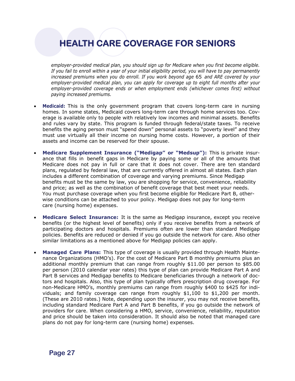*employer-provided medical plan, you should sign up for Medicare when you first become eligible. If you fail to enroll within a year of your initial eligibility period, you will have to pay permanently increased premiums when you do enroll. If you work beyond age* 65 *and ARE covered by your employer-provided medical plan, you can apply for coverage up to eight full months after your employer-provided coverage ends or when employment ends (whichever comes first) without paying increased prem*i*ums.* 

- **Medicaid:** This is the only government program that covers long-term care in nursing homes. In some states, Medicaid covers long-term care through home services too. Coverage is available only to people with relatively low incomes and minimal assets. Benefits and rules vary by state. This program is funded through federal/state taxes. To receive benefits the aging person must "spend down" personal assets to "poverty level" and they must use virtually all their income on nursing home costs. However, a portion of their assets and income can be reserved for their spouse.
- **Medicare Supplement Insurance ("Medigap" or "Medsup"):** This is private insurance that fills in benefit gaps in Medicare by paying some or all of the amounts that Medicare does not pay in full or care that it does not cover. There are ten standard plans, regulated by federal law, that are currently offered in almost all states. Each plan includes a different combination of coverage and varying premiums. Since Medigap benefits must be the same by law, you are shopping for service, convenience, reliability and price; as well as the combination of benefit coverage that best meet your needs. You must purchase coverage when you first become eligible for Medicare Part B, other wise conditions can be attached to your policy. Medigap does not pay for long-term care (nursing home) expenses.
- **Medicare Select Insurance:** It is the same as Medigap insurance, except you receive benefits (or the highest level of benefits) only if you receive benefits from a network of participating doctors and hospitals. Premiums often are lower than standard Medigap policies. Benefits are reduced or denied if you go outside the network for care. Also other similar limitations as a mentioned above for Medigap policies can apply.
- **Managed Care Plans:** This type of coverage is usually provided through Health Maintenance Organizations (HMO's). For the cost of Medicare Part B monthly premiums plus an additional monthly premium that can range from roughly \$11.00 per person to \$85.00 per person (2010 calendar year rates) this type of plan can provide Medicare Part A and Part B services and Medigap benefits to Medicare beneficiaries through a network of doctors and hospitals. Also, this type of plan typically offers prescription drug coverage. For non-Medicare HMO's, monthly premiums can range from roughly \$400 to \$425 for individuals; and family coverage can range from roughly \$1,100 to \$1,200 per month. (These are 2010 rates.) Note, depending upon the insurer, you may not receive benefits, including standard Medicare Part A and Part B benefits, if you go outside the network of providers for care. When considering a HMO, service, convenience, reliability, reputation and price should be taken into consideration. It should also be noted that managed care plans do not pay for long-term care (nursing home) expenses.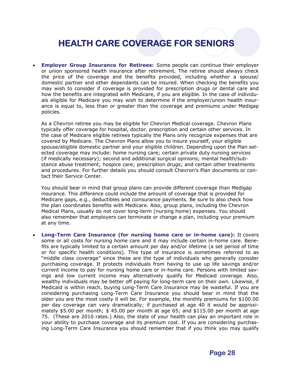**Employer Group Insurance for Retirees:** Some people can continue their employer or union sponsored health insurance after retirement. The retiree should always check the price of the coverage and the benefits provided, including whether a spouse/ domestic partner and other dependants can be insured. When checking the benefits you may wish to consider if coverage is provided for prescription drugs or dental care and how the benefits are integrated with Medicare, if you are eligible. In the case of individuals eligible for Medicare you may wish to determine if the employer/union health insurance is equal to, less than or greater than the coverage and premiums under Medigap policies.

 As a Chevron retiree you may be eligible for Chevron Medical coverage. Chevron Plans typically offer coverage for hospital, doctor, prescription and certain other services. In the case of Medicare eligible retirees typically the Plans only recognize expenses that are covered by Medicare. The Chevron Plans allow you to insure yourself, your eligible spouse/eligible domestic partner and your eligible children. Depending upon the Plan sel ected coverage may include: home nursing care; certain private duty nursing services (if medically necessary); second and additional surgical opinions; mental health/sub stance abuse treatment; hospice care; prescription drugs; and certain other treatments and procedures. For further details you should consult Chevron's Plan documents or con tact their Service Center.

 You should bear in mind that group plans can provide different coverage than Medigap insurance. This difference could include the amount of coverage that is provided for Medicare gaps, e.g., deductibles and coinsurance payments. Be sure to also check how the plan coordinates benefits with Medicare. Also, group plans, including the Chevron Medical Plans, usually do not cover long-term (nursing home) expenses. You should also remember that employers can terminate or change a plan, including your premium at any time.

 **Long-Term Care Insurance (for nursing home care or in-home care):** It covers some or all costs for nursing home care and it may include certain in-home care. Benefits are typically limited to a certain amount per day and/or lifetime (a set period of time or for specific health conditions). This type of insurance is sometimes referred to as "middle class coverage" since these are the type of individuals who generally consider purchasing coverage. It protects individuals from having to use up life savings and/or current income to pay for nursing home care or in-home care. Persons with limited savings and low current income may alternatively qualify for Medicaid coverage. Also, wealthy individuals may be better off paying for long-term care on their own. Likewise, if Medicaid is within reach, buying Long-Term Care Insurance may be wasteful. If you are considering purchasing Long-Term Care Insurance you should bear in mind that the older you are the most costly it will be. For example, the monthly premiums for \$100.00 per day coverage can vary dramatically; if purchased at age 40 it would be approximately \$5.00 per month; \$ 45.00 per month at age 65; and \$115.00 per month at age 75. (These are 2010 rates.) Also, the state of your health can play an important role in your ability to purchase coverage and its premium cost. If you are considering purchasing Long-Term Care Insurance you should remember that if you think you may qualify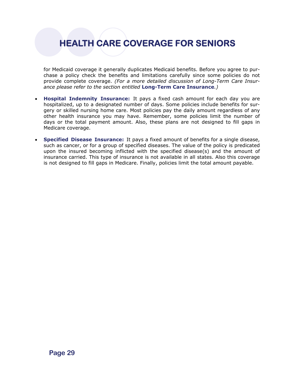for Medicaid coverage it generally duplicates Medicaid benefits. Before you agree to purchase a policy check the benefits and limitations carefully since some policies do not provide complete coverage. *(For a more detailed discussion of Long-Term Care Insurance please refer to the section entitled* **Long-Term Care Insurance***.)*

- **Hospital Indemnity Insurance:** It pays a fixed cash amount for each day you are hospitalized, up to a designated number of days. Some policies include benefits for surgery or skilled nursing home care. Most policies pay the daily amount regardless of any other health insurance you may have. Remember, some policies limit the number of days or the total payment amount. Also, these plans are not designed to fill gaps in Medicare coverage.
- **Specified Disease Insurance:** It pays a fixed amount of benefits for a single disease, such as cancer, or for a group of specified diseases. The value of the policy is predicated upon the insured becoming inflicted with the specified disease(s) and the amount of insurance carried. This type of insurance is not available in all states. Also this coverage is not designed to fill gaps in Medicare. Finally, policies limit the total amount payable.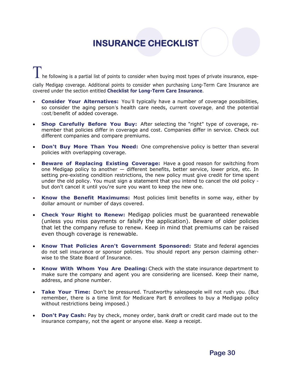## **INSURANCE CHECKLIST**

he following is a partial list of points to consider when buying most types of private insurance, especially Medigap coverage. Additional points to consider when purchasing Long-Term Care Insurance are covered under the section entitled **Checklist for Long-Term Care Insurance**.

- **Consider Your Alternatives:** You'll typically have a number of coverage possibilities, so consider the aging person's health care needs, current coverage, and the potential cost/benefit of added coverage.
- **Shop Carefully Before You Buy:** After selecting the "right" type of coverage, remember that policies differ in coverage and cost. Companies differ in service. Check out different companies and compare premiums.
- **Don't Buy More Than You Need:** One comprehensive policy is better than several policies with overlapping coverage.
- **Beware of Replacing Existing Coverage:** Have a good reason for switching from one Medigap policy to another — different benefits, better service, lower price, etc. In setting pre-existing condition restrictions, the new policy must give credit for time spent under the old policy. You must sign a statement that you intend to cancel the old policy but don't cancel it until you're sure you want to keep the new one.
- **Know the Benefit Maximums:** Most policies limit benefits in some way, either by dollar amount or number of days covered.
- **Check Your Right to Renew:** Medigap policies must be guaranteed renewable (unless you miss payments or falsify the application). Beware of older policies that let the company refuse to renew. Keep in mind that premiums can be raised even though coverage is renewable.
- **Know That Policies Aren't Government Sponsored:** State and federal agencies do not sell insurance or sponsor policies. You should report any person claiming otherwise to the State Board of Insurance.
- **Know With Whom You Are Dealing:** Check with the state insurance department to make sure the company and agent you are considering are licensed. Keep their name, address, and phone number.
- **Take Your Time:** Don't be pressured. Trustworthy salespeople will not rush you. (But remember, there is a time limit for Medicare Part B enrollees to buy a Medigap policy without restrictions being imposed.)
- **Don't Pay Cash:** Pay by check, money order, bank draft or credit card made out to the insurance company, not the agent or anyone else. Keep a receipt.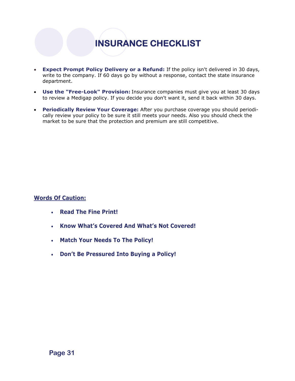# **INSURANCE CHECKLIST**

- **Expect Prompt Policy Delivery or a Refund:** If the policy isn't delivered in 30 days, write to the company. If 60 days go by without a response, contact the state insurance department.
- **Use the "Free-Look" Provision:** Insurance companies must give you at least 30 days to review a Medigap policy. If you decide you don't want it, send it back within 30 days.
- **Periodically Review Your Coverage:** After you purchase coverage you should periodically review your policy to be sure it still meets your needs. Also you should check the market to be sure that the protection and premium are still competitive.

### **Words Of Caution:**

- **Read The Fine Print!**
- **Know What's Covered And What's Not Covered!**
- **Match Your Needs To The Policy!**
- **Don't Be Pressured Into Buying a Policy!**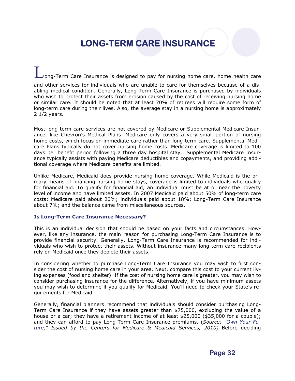## **LONG-TERM CARE INSURANCE**

ong-Term Care Insurance is designed to pay for nursing home care, home health care and other services for individuals who are unable to care for themselves because of a disabling medical condition. Generally, Long-Term Care Insurance is purchased by individuals who wish to protect their assets from erosion caused by the cost of receiving nursing home or similar care. It should be noted that at least 70% of retirees will require some form of long-term care during their lives. Also, the average stay in a nursing home is approximately 2 1/2 years.

Most long-term care services are not covered by Medicare or Supplemental Medicare Insurance, like Chevron's Medical Plans. Medicare only covers a very small portion of nursing home costs, which focus on immediate care rather than long-term care. Supplemental Medicare Plans typically do not cover nursing home costs. Medicare coverage is limited to 100 days per benefit period following a three day hospital stay. Supplemental Medicare Insurance typically assists with paying Medicare deductibles and copayments, and providing additional coverage where Medicare benefits are limited.

Unlike Medicare, Medicaid does provide nursing home coverage. While Medicaid is the primary means of financing nursing home stays, coverage is limited to individuals who qualify for financial aid. To qualify for financial aid, an individual must be at or near the poverty level of income and have limited assets. In 2007 Medicaid paid about 50% of long-term care costs; Medicare paid about 20%; individuals paid about 18%; Long-Term Care Insurance about 7%; and the balance came from miscellaneous sources.

### **Is Long-Term Care Insurance Necessary?**

This is an individual decision that should be based on your facts and circumstances. However, like any insurance, the main reason for purchasing Long-Term Care Insurance is to provide financial security. Generally, Long-Term Care Insurance is recommended for individuals who wish to protect their assets. Without insurance many long-term care recipients rely on Medicaid once they deplete their assets.

In considering whether to purchase Long-Term Care Insurance you may wish to first consider the cost of nursing home care in your area. Next, compare this cost to your current living expenses (food and shelter). If the cost of nursing home care is greater, you may wish to consider purchasing insurance for the difference. Alternatively, if you have minimum assets you may wish to determine if you qualify for Medicaid. You'll need to check your State's requirements for Medicaid.

Generally, financial planners recommend that individuals should consider purchasing Long-Term Care Insurance if they have assets greater than \$75,000, excluding the value of a house or a car; they have a retirement income of at least \$25,000 (\$35,000 for a couple); and they can afford to pay Long-Term Care Insurance premiums. (*Source: "Own Your Fu*ture," Issued by the Centers for Medicare & Medicaid Services, 2010) Before deciding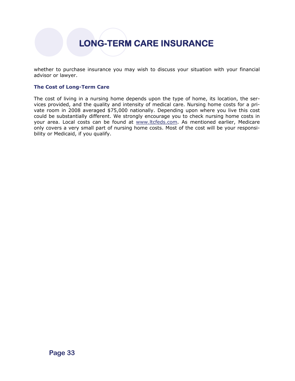**LONG-TERM CARE INSURANCE** 

whether to purchase insurance you may wish to discuss your situation with your financial advisor or lawyer.

### **The Cost of Long-Term Care**

The cost of living in a nursing home depends upon the type of home, its location, the services provided, and the quality and intensity of medical care. Nursing home costs for a private room in 2008 averaged \$75,000 nationally. Depending upon where you live this cost could be substantially different. We strongly encourage you to check nursing home costs in your area. Local costs can be found at www.ltcfeds.com. As mentioned earlier, Medicare only covers a very small part of nursing home costs. Most of the cost will be your responsibility or Medicaid, if you qualify.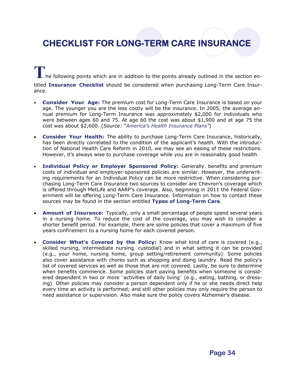## **CHECKLIST FOR LONG-TERM CARE INSURANCE**

**T**he following points which are in addition to the points already outlined in the section entitled **Insurance Checklist** should be considered when purchasing Long-Term Care Insurance.

- **Consider Your Age:** The premium cost for Long-Term Care Insurance is based on your age. The younger you are the less costly will be the insurance. In 2005, the average annual premium for Long-Term Insurance was approximately \$2,000 for individuals who were between ages 60 and 75. At age 60 the cost was about \$1,900 and at age 75 the cost was about \$2,600. (*Source: "America's Health Insurance Plans"*)
- **Consider Your Health:** The ability to purchase Long-Term Care Insurance, historically, has been directly correlated to the condition of the applicant's health. With the introduction of National Health Care Reform in 2010, we may see an easing of these restrictions. However, it's always wise to purchase coverage while you are in reasonably good health.
- **Individual Policy or Employer Sponsored Policy:** Generally, benefits and premium costs of individual and employer-sponsored policies are similar. However, the underwriting requirements for an Individual Policy can be more restrictive. When considering purchasing Long-Term Care Insurance two sources to consider are Chevron's coverage which is offered through MetLife and AARP's coverage. Also, beginning in 2011 the Federal Government will be offering Long-Term Care Insurance. Information on how to contact these sources may be found in the section entitled **Types of Long-Term Care**.
- **Amount of Insurance:** Typically, only a small percentage of people spend several years in a nursing home. To reduce the cost of the coverage, you may wish to consider a shorter benefit period. For example, there are some policies that cover a maximum of five years confinement to a nursing home for each covered person.
- **Consider What's Covered by the Policy:** Know what kind of care is covered (e.g., skilled nursing, intermediate nursing, custodial) and in what setting it can be provided (e.g., your home, nursing home, group setting/retirement community). Some policies also cover assistance with chores such as shopping and doing laundry. Read the policy's list of covered services as well as those that are not covered. Lastly, be sure to determine when benefits commence. Some policies start paying benefits when someone is considered dependent in two or more "activities of daily living" (e.g., eating, bathing, or dressing). Other policies may consider a person dependent only if he or she needs direct help every time an activity is performed; and still other policies may only require the person to need assistance or supervision. Also make sure the policy covers Alzheimer's disease.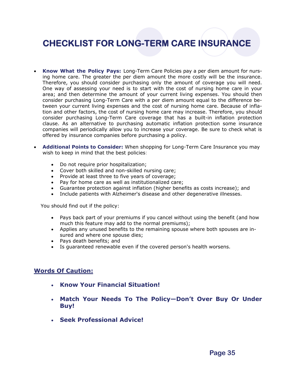## **CHECKLIST FOR LONG-TERM CARE INSURANCE**

- **Know What the Policy Pays:** Long-Term Care Policies pay a per diem amount for nursing home care. The greater the per diem amount the more costly will be the insurance. Therefore, you should consider purchasing only the amount of coverage you will need. One way of assessing your need is to start with the cost of nursing home care in your area; and then determine the amount of your current living expenses. You should then consider purchasing Long-Term Care with a per diem amount equal to the difference between your current living expenses and the cost of nursing home care. Because of inflation and other factors, the cost of nursing home care may increase. Therefore, you should consider purchasing Long-Term Care coverage that has a built-in inflation protection clause. As an alternative to purchasing automatic inflation protection some insurance companies will periodically allow you to increase your coverage. Be sure to check what is offered by insurance companies before purchasing a policy.
- **Additional Points to Consider:** When shopping for Long-Term Care Insurance you may wish to keep in mind that the best policies:
	- Do not require prior hospitalization;
	- Cover both skilled and non-skilled nursing care;
	- Provide at least three to five years of coverage;
	- Pay for home care as well as institutionalized care;
	- Guarantee protection against inflation (higher benefits as costs increase); and
	- Include patients with Alzheimer's disease and other degenerative illnesses.

You should find out if the policy:

- Pays back part of your premiums if you cancel without using the benefit (and how much this feature may add to the normal premiums);
- Applies any unused benefits to the remaining spouse where both spouses are insured and where one spouse dies;
- Pays death benefits; and
- Is guaranteed renewable even if the covered person's health worsens.

### **Words Of Caution:**

- **Know Your Financial Situation!**
- **Match Your Needs To The Policy—Don't Over Buy Or Under Buy!**
- **Seek Professional Advice!**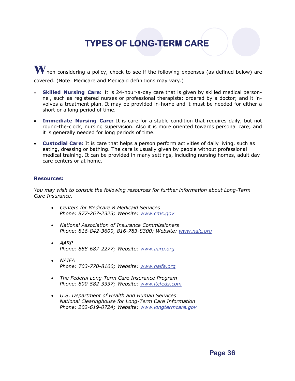## **TYPES OF LONG-TERM CARE**

When considering a policy, check to see if the following expenses (as defined below) are covered. (Note: Medicare and Medicaid definitions may vary.)

- **Skilled Nursing Care:** It is 24-hour-a-day care that is given by skilled medical personnel, such as registered nurses or professional therapists; ordered by a doctor; and it involves a treatment plan. It may be provided in-home and it must be needed for either a short or a long period of time.
- **Immediate Nursing Care:** It is care for a stable condition that requires daily, but not round-the-clock, nursing supervision. Also it is more oriented towards personal care; and it is generally needed for long periods of time.
- **Custodial Care:** It is care that helps a person perform activities of daily living, such as eating, dressing or bathing. The care is usually given by people without professional medical training. It can be provided in many settings, including nursing homes, adult day care centers or at home.

#### **Resources:**

*You may wish to consult the following resources for further information about Long-Term Care Insurance.* 

- *Centers for Medicare & Medicaid Services Phone: 877-267-2323; Website: [www.cms.gov](http://www.cms.gov/)*
- *National Association of Insurance Commissioners Phone: 816-842-3600, 816-783-8300; Website: [www.naic.org](http://www.naic.org/)*
- *AARP Phone: 888-687-2277; Website: [www.aarp.org](http://www.aarp.org/)*
- *NAIFA Phone: 703-770-8100; Website: [www.naifa.org](http://www.naifa.org/)*
- *The Federal Long-Term Care Insurance Program Phone: 800-582-3337; Website: [www.ltcfeds.com](http://www.ltcfeds.com/)*
- *U.S. Department of Health and Human Services National Clearinghouse for Long-Term Care Information Phone: 202-619-0724; Website: [www.longtermcare.gov](http://www.longtermcare.gov/)*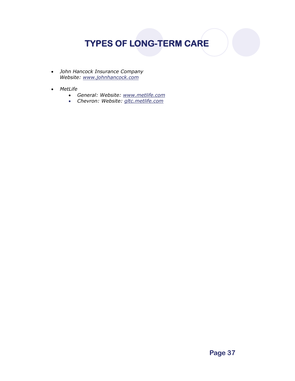## **TYPES OF LONG-TERM CARE**

- *John Hancock Insurance Company Website: www.johnhancock.com*
- *MetLife* 
	- *General: Website: [www.metlife.com](http://www.metlife.com/)*
	- *Chevron: Website: gltc.metlife.com*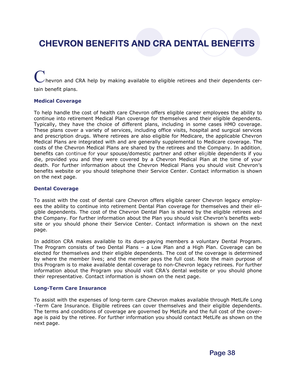## **CHEVRON BENEFITS AND CRA DENTAL BENEFITS**

hevron and CRA help by making available to eligible retirees and their dependents certain benefit plans.

#### **Medical Coverage**

To help handle the cost of health care Chevron offers eligible career employees the ability to continue into retirement Medical Plan coverage for themselves and their eligible dependents. Typically, they have the choice of different plans, including in some cases HMO coverage. These plans cover a variety of services, including office visits, hospital and surgical services and prescription drugs. Where retirees are also eligible for Medicare, the applicable Chevron Medical Plans are integrated with and are generally supplemental to Medicare coverage. The costs of the Chevron Medical Plans are shared by the retirees and the Company. In addition, benefits can continue for your spouse/domestic partner and other eligible dependents if you die, provided you and they were covered by a Chevron Medical Plan at the time of your death. For further information about the Chevron Medical Plans you should visit Chevron's benefits website or you should telephone their Service Center. Contact information is shown on the next page.

#### **Dental Coverage**

To assist with the cost of dental care Chevron offers eligible career Chevron legacy employees the ability to continue into retirement Dental Plan coverage for themselves and their eligible dependents. The cost of the Chevron Dental Plan is shared by the eligible retirees and the Company. For further information about the Plan you should visit Chevron's benefits website or you should phone their Service Center. Contact information is shown on the next page.

In addition CRA makes available to its dues-paying members a voluntary Dental Program. The Program consists of two Dental Plans – a Low Plan and a High Plan. Coverage can be elected for themselves and their eligible dependents. The cost of the coverage is determined by where the member lives; and the member pays the full cost. Note the main purpose of this Program is to make available dental coverage to non-Chevron legacy retirees. For further information about the Program you should visit CRA's dental website or you should phone their representative. Contact information is shown on the next page.

#### **Long-Term Care Insurance**

To assist with the expenses of long-term care Chevron makes available through MetLife Long -Term Care Insurance. Eligible retirees can cover themselves and their eligible dependents. The terms and conditions of coverage are governed by MetLife and the full cost of the coverage is paid by the retiree. For further information you should contact MetLife as shown on the next page.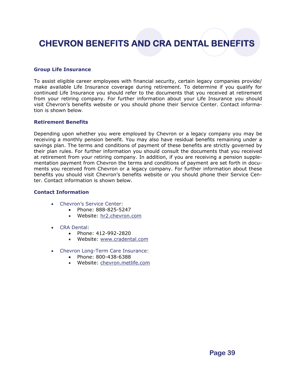## **CHEVRON BENEFITS AND CRA DENTAL BENEFITS**

### **Group Life Insurance**

To assist eligible career employees with financial security, certain legacy companies provide/ make available Life Insurance coverage during retirement. To determine if you qualify for continued Life Insurance you should refer to the documents that you received at retirement from your retiring company. For further information about your Life Insurance you should visit Chevron's benefits website or you should phone their Service Center. Contact information is shown below.

#### **Retirement Benefits**

Depending upon whether you were employed by Chevron or a legacy company you may be receiving a monthly pension benefit. You may also have residual benefits remaining under a savings plan. The terms and conditions of payment of these benefits are strictly governed by their plan rules. For further information you should consult the documents that you received at retirement from your retiring company. In addition, if you are receiving a pension supplementation payment from Chevron the terms and conditions of payment are set forth in documents you received from Chevron or a legacy company. For further information about these benefits you should visit Chevron's benefits website or you should phone their Service Center. Contact information is shown below.

#### **Contact Information**

- Chevron's Service Center:
	- Phone: 888-825-5247
	- Website: hr2.chevron.com
- CRA Dental:
	- Phone: 412-992-2820
	- Website: [www.cradental.com](http://www.cradental.com/)
- Chevron Long-Term Care Insurance:
	- Phone: 800-438-6388
	- Website: chevron.metlife.com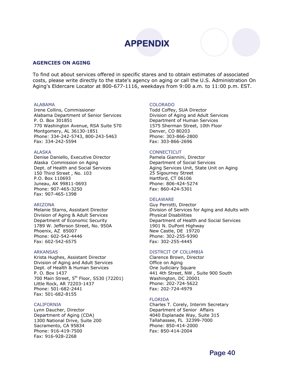

#### **AGENCIES ON AGING**

To find out about services offered in specific stares and to obtain estimates of associated costs, please write directly to the state's agency on aging or call the U.S. Administration On Aging's Eldercare Locator at 800-677-1116, weekdays from 9:00 a.m. to 11:00 p.m. EST.

#### **ALABAMA**

Irene Collins, Commissioner Alabama Department of Senior Services P. O. Box 301851 770 Washington Avenue, RSA Suite 570 Montgomery, AL 36130-1851 Phone: 334-242-5743, 800-243-5463 Fax: 334-242-5594

#### ALASKA

Denise Daniello, Executive Director Alaska Commission on Aging Dept. of Health and Social Services 150 Third Street , No. 103 P.O. Box 110693 Juneau, AK 99811-0693 Phone: 907-465-3250 Fax: 907-465-1398

#### ARIZONA

Melanie Starns, Assistant Director Division of Aging & Adult Services Department of Economic Security 1789 W. Jefferson Street, No. 950A Phoenix, AZ 85007 Phone: 602-542-4446 Fax: 602-542-6575

#### ARKANSAS

Krista Hughes, Assistant Director Division of Aging and Adult Services Dept. of Health & Human Services P. O. Box 1437 700 Main Street, 5<sup>th</sup> Floor, S530 (72201) Little Rock, AR 72203-1437 Phone: 501-682-2441 Fax: 501-682-8155

#### CALIFORNIA

Lynn Daucher, Director Department of Aging (CDA) 1300 National Drive, Suite 200 Sacramento, CA 95834 Phone: 916-419-7500 Fax: 916-928-2268

#### COLORADO

Todd Coffey, SUA Director Division of Aging and Adult Services Department of Human Services 1575 Sherman Street, 10th Floor Denver, CO 80203 Phone: 303-866-2800 Fax: 303-866-2696

#### **CONNECTICUT**

Pamela Giannini, Director Department of Social Services Aging Services Unit, State Unit on Aging 25 Sigourney Street Hartford, CT 06106 Phone: 806-424-5274 Fax: 860-424-5301

#### DELAWARE

Guy Perrotti, Director Division of Services for Aging and Adults with Physical Disabilities Department of Health and Social Services 1901 N. DuPont Highway New Castle, DE 19720 Phone: 302-255-9390 Fax: 302-255-4445

#### DISTRCIT OF COLUMBIA

Clarence Brown, Director Office on Aging One Judiciary Square 441 4th Street, NW , Suite 900 South Washington, DC 20001 Phone: 202-724-5622 Fax: 202-724-4979

#### FLORIDA

Charles T. Corely, Interim Secretary Department of Senior Affairs 4040 Esplanade Way, Suite 315 Tallahassee, FL 32399-7000 Phone: 850-414-2000 Fax: 850-414-2004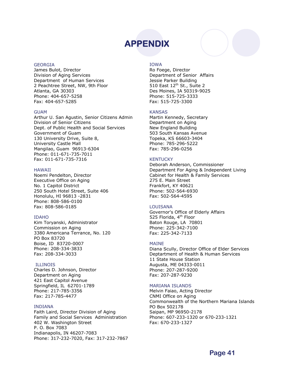#### GEORGIA

James Bulot, Director Division of Aging Services Department of Human Services 2 Peachtree Street, NW, 9th Floor Atlanta, GA 30303 Phone: 404-657-5258 Fax: 404-657-5285

#### GUAM

Arthur U. San Agustin, Senior Citizens Admin Division of Senior Citizens Dept. of Public Health and Social Services Government of Guam 130 University Drive, Suite 8, University Castle Mall Mangilao, Guam 96913-6304 Phone: 011-671-735-7011 Fax: 011-671-735-7316

#### HAWAII

Noemi Pendelton, Director Executive Office on Aging No. 1 Capitol District 250 South Hotel Street, Suite 406 Honolulu, HI 96813 -2831 Phone: 808-586-0100 Fax: 808-586-0185

#### IDAHO

Kim Toryanski, Administrator Commission on Aging 3380 Americana Terrance, No. 120 PO Box 83720 Boise, ID 83720-0007 Phone: 208-334-3833 Fax: 208-334-3033

#### **ILLINOIS**

Charles D. Johnson, Director Department on Aging 421 East Capitol Avenue Springfield, IL 62701-1789 Phone: 217-785-3356 Fax: 217-785-4477

#### INDIANA

Faith Laird, Director Division of Aging Family and Social Services Administration 402 W. Washington Street P. O. Box 7083 Indianapolis, IN 46207-7083 Phone: 317-232-7020, Fax: 317-232-7867

#### IOWA

Ro Foege, Director Department of Senior Affairs Jessie Parker Building 510 East 12<sup>th</sup> St., Suite 2 Des Moines, IA 50319-9025 Phone: 515-725-3333 Fax: 515-725-3300

#### KANSAS

Martin Kennedy, Secretary Department on Aging New England Building 503 South Kansas Avenue Topeka, KS 66603-3404 Phone: 785-296-5222 Fax: 785-296-0256

#### **KENTUCKY**

Deborah Anderson, Commissioner Department For Aging & Independent Living Cabinet for Health & Family Services 275 E. Main Street Frankfort, KY 40621 Phone: 502-564-6930 Fax: 502-564-4595

#### LOUISANA

Governor's Office of Elderly Affairs 525 Florida, 4<sup>th</sup> Floor Baton Rouge, LA 70801 Phone: 225-342-7100 Fax: 225-342-7133

#### MAINE

Diana Scully, Director Office of Elder Services Deptartment of Health & Human Services 11 State House Station Augusta, ME 04333-0011 Phone: 207-287-9200 Fax: 207-287-9230

#### MARIANA ISLANDS

Melvin Faiao, Acting Director CNMI Office on Aging Commonwealth of the Northern Mariana Islands PO Box 502178 Saipan, MP 96950-2178 Phone: 607-233-1320 or 670-233-1321 Fax: 670-233-1327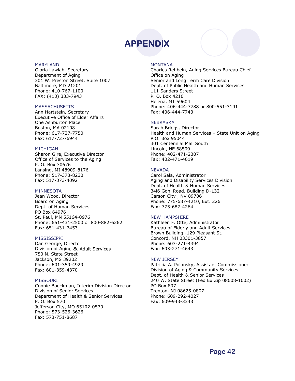#### MARYLAND

Gloria Lawiah, Secretary Department of Aging 301 W. Preston Street, Suite 1007 Baltimore, MD 21201 Phone: 410-767-1100 FAX: (410) 333-7943

#### **MASSACHUSETTS**

Ann Hartstein, Secretary Executive Office of Elder Affairs One Ashburton Place Boston, MA 02108 Phone: 617-727-7750 Fax: 617-727-6944

#### MICHIGAN

Sharon Gire, Executive Director Office of Services to the Aging P. O. Box 30676 Lansing, MI 48909-8176 Phone: 517-373-8230 Fax: 517-373-4092

#### MINNESOTA

Jean Wood, Director Board on Aging Dept. of Human Services PO Box 64976 St. Paul, MN 55164-0976 Phone: 651-431-2500 or 800-882-6262 Fax: 651-431-7453

#### MISSISSIPPI

Dan George, Director Division of Aging & Adult Services 750 N. State Street Jackson, MS 39202 Phone: 601-359-4929 Fax: 601-359-4370

#### MISSOURI

Connie Boeckman, Interim Division Director Division of Senior Services Department of Health & Senior Services P. O. Box 570 Jefferson City, MO 65102-0570 Phone: 573-526-3626 Fax: 573-751-8687

#### MONTANA

Charles Rehbein, Aging Services Bureau Chief Office on Aging Senior and Long Term Care Division Dept. of Public Health and Human Services 111 Sanders Street P. O. Box 4210 Helena, MT 59604 Phone: 406-444-7788 or 800-551-3191 Fax: 406-444-7743

#### **NEBRASKA**

Sarah Briggs, Director Health and Human Services – State Unit on Aging P.O. Box 95044 301 Centennial Mall South Lincoln, NE 68509 Phone: 402-471-2307 Fax: 402-471-4619

#### **NEVADA**

Carol Sala, Administrator Aging and Disability Services Division Dept. of Health & Human Services 34i6 Goni Road, Building D-132 Carson City , NV 89706 Phone: 775-687-4210, Ext. 226 Fax: 775-687-4264

#### NEW HAMPSHIRE

Kathleen F. Otte, Administrator Bureau of Elderly and Adult Services Brown Building -129 Pleasant St. Concord, NH 03301-3857 Phone: 603-271-4394 Fax: 603-271-4643

#### NEW JERSEY

Patricia A. Polansky, Assistant Commissioner Division of Aging & Community Services Dept. of Health & Senior Services 240 W. State Street (Fed Ex Zip 08608-1002) PO Box 807 Trenton, NJ 08625-0807 Phone: 609-292-4027 Fax: 609-943-3343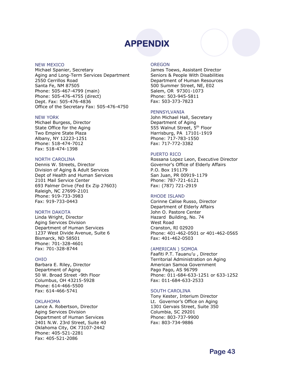#### NEW MEXICO

Michael Spanier, Secretary Aging and Long-Term Services Department 2550 Cerrillos Road Santa Fe, NM 87505 Phone: 505-467-4799 (main) Phone: 505-476-4755 (direct) Dept. Fax: 505-476-4836 Office of the Secretary Fax: 505-476-4750

#### NEW YORK

Michael Burgess, Director State Office for the Aging Two Empire State Plaza Albany, NY 12223-1251 Phone: 518-474-7012 Fax: 518-474-1398

#### NORTH CAROLINA

Dennis W. Streets, Director Division of Aging & Adult Services Dept of Health and Human Services 2101 Mail Service Center 693 Palmer Drive (Fed Ex Zip 27603) Raleigh, NC 27699-2101 Phone: 919-733-3983 Fax: 919-733-0443

#### NORTH DAKOTA

Linda Wright, Director Aging Services Division Department of Human Services 1237 West Divide Avenue, Suite 6 Bismarck, ND 58501 Phone: 701-328-4601 Fax: 701-328-8744

#### OHIO

Barbara E. Riley, Director Department of Aging 50 W. Broad Street -9th Floor Columbus, OH 43215-5928 Phone: 614-466-5500 Fax: 614-466-5741

#### OKLAHOMA

Lance A. Robertson, Director Aging Services Division Department of Human Services 2401 N.W. 23rd Street, Suite 40 Oklahoma City, OK 73107-2442 Phone: 405-521-2281 Fax: 405-521-2086

#### OREGON

James Toews, Assistant Director Seniors & People With Disabilities Department of Human Resources 500 Summer Street, NE, E02 Salem, OR 97301-1073 Phone: 503-945-5811 Fax: 503-373-7823

#### PENNSYLVANIA

John Michael Hall, Secretary Department of Aging 555 Walnut Street, 5<sup>th</sup> Floor Harrisburg, PA 17101-1919 Phone: 717-783-1550 Fax: 717-772-3382

#### PUERTO RICO

Rossana Lopez Leon, Executive Director Governor's Office of Elderly Affairs P.O. Box 191179 San Juan, PR 00919-1179 Phone: 787-721-6121 Fax: (787) 721-2919

#### RHODE ISLAND

Corinne Calise Russo, Director Department of Elderly Affairs John O. Pastore Center Hazard Building, No. 74 West Road Cranston, RI 02920 Phone: 401-462-0501 or 401-462-0565 Fax: 401-462-0503

#### (AMERICAN ) SOMOA

Faafiti P.T. Tauanu'u , Director Territorial Administration on Aging American Samoa Government Pago Pago, AS 96799 Phone: 011-684-633-1251 or 633-1252 Fax: 011-684-633-2533

#### SOUTH CAROLINA

Tony Kester, Interium Director Lt. Governor's Office on Aging 1301 Gervais Street, Suite 350 Columbia, SC 29201 Phone: 803-737-9900 Fax: 803-734-9886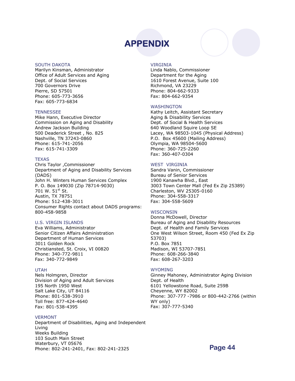#### SOUTH DAKOTA

Marilyn Kinsman, Administrator Office of Adult Services and Aging Dept. of Social Services 700 Governors Drive Pierre, SD 57501 Phone: 605-773-3656 Fax: 605-773-6834

#### **TENNESSEE**

Mike Hann, Executive Director Commission on Aging and Disability Andrew Jackson Building 500 Deaderick Street , No. 825 Nashville, TN 37243-0860 Phone: 615-741-2056 Fax: 615-741-3309

#### **TEXAS**

Chris Taylor ,Commissioner Department of Aging and Disability Services (DADS) John H. Winters Human Services Complex P. O. Box 149030 (Zip 78714-9030) 701 W. 51st St. Austin, TX 78751 Phone: 512-438-3011 Consumer Rights contact about DADS programs: 800-458-9858

#### U.S. VIRGIN ISLANDS

Eva Williams, Administrator Senior Citizen Affairs Administration Department of Human Services 3011 Golden Rock Christiansted, St. Croix, VI 00820 Phone: 340-772-9811 Fax: 340-772-9849

#### UTAH

Nels Holmgren, Director Division of Aging and Adult Services 195 North 1950 West Salt Lake City, UT 84116 Phone: 801-538-3910 Toll free: 877-424-4640 Fax: 801-538-4395

#### VERMONT

Department of Disabilities, Aging and Independent Living Weeks Building 103 South Main Street Waterbury, VT 05676 Phone: 802-241-2401, Fax: 802-241-2325

#### VIRGINIA

Linda Nablo, Commissioner Department for the Aging 1610 Forest Avenue, Suite 100 Richmond, VA 23229 Phone: 804-662-9333 Fax: 804-662-9354

#### WASHINGTON

Kathy Leitch, Assistant Secretary Aging & Disability Services Dept. of Social & Health Services 640 Woodland Squire Loop SE Lacey, WA 98503-1045 (Physical Address) P.O. Box 45600 (Mailing Address) Olympia, WA 98504-5600 Phone: 360-725-2260 Fax: 360-407-0304

#### WEST VIRGINIA

Sandra Vanin, Commissioner Bureau of Senior Services 1900 Kanawha Blvd., East 3003 Town Center Mall (Fed Ex Zip 25389) Charleston, WV 25305-0160 Phone: 304-558-3317 Fax: 304-558-5609

#### WISCONSIN

Donna McDowell, Director Bureau of Aging and Disability Resources Dept. of Health and Family Services One West Wilson Street, Room 450 (Fed Ex Zip 53703) P.O. Box 7851 Madison, WI 53707-7851 Phone: 608-266-3840 Fax: 608-267-3203

#### WYOMING

Ginney Mahoney, Administrator Aging Division Dept. of Health 6101 Yellowstone Road, Suite 259B Cheyenne, WY 82002 Phone: 307-777 -7986 or 800-442-2766 (within WY only) Fax: 307-777-5340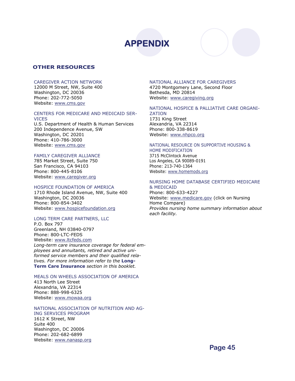

#### **OTHER RESOURCES**

#### CAREGIVER ACTION NETWORK

12000 M Street, NW, Suite 400 Washington, DC 20036 Phone: 202-772-5050 Website: www.cms.gov

#### CENTERS FOR MEDICARE AND MEDICAID SER-

#### **VICES**

U.S. Department of Health & Human Services 200 Independence Avenue, SW Washington, DC 20201 Phone: 410-786-3000 Website: www.cms.gov

#### FAMILY CAREGIVER ALLIANCE

785 Market Street, Suite 750 San Francisco, CA 94103 Phone: 800-445-8106 Website: www.caregiver.org

#### HOSPICE FOUNDATION OF AMERICA

1710 Rhode Island Avenue, NW, Suite 400 Washington, DC 20036 Phone: 800-854-3402 Website: www.hospicefoundation.org

#### LONG TERM CARE PARTNERS, LLC

P.O. Box 797 Greenland, NH 03840-0797 Phone: 800-LTC-FEDS Website: www.ltcfeds.com *Long-term care insurance coverage for federal em-*

*ployees and annuitants, retired and active uniformed service members and their qualified relatives. For more information refer to the* **Long-Term Care Insurance** *section in this booklet.* 

### MEALS ON WHEELS ASSOCIATION OF AMERICA

413 North Lee Street Alexandria, VA 22314 Phone: 888-998-6325 Website: www.mowaa.org

#### NATIONAL ASSOCIATION OF NUTRITION AND AG-

ING SERVICES PROGRAM 1612 K Street, NW Suite 400 Washington, DC 20006 Phone: 202-682-6899 Website: www.nanasp.org

### NATIONAL ALLIANCE FOR CAREGIVERS

4720 Montgomery Lane, Second Floor Bethesda, MD 20814 Website: www.caregiving.org

#### NATIONAL HOSPICE & PALLIATIVE CARE ORGANI-ZATION

1731 King Street Alexandria, VA 22314 Phone: 800-338-8619 Website: www.nhpco.org

#### NATIONAL RESOURCE ON SUPPORTIVE HOUSING &

HOME MODIFICATION 3715 McClintock Avenue Los Angeles, CA 90089-0191 Phone: 213-740-1364 Website: www.homemods.org

#### NURSING HOME DATABASE CERTIFIED MEDICARE & MEDICAID

Phone: 800-633-4227 Website: www.medicare.gov (click on Nursing Home Compare) *Provides nursing home summary information about each facility.*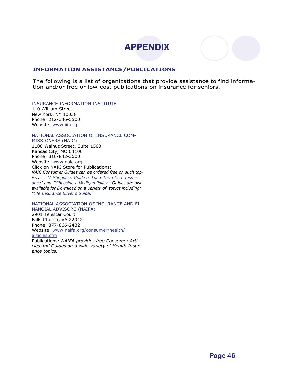

#### **INFORMATION ASSISTANCE/PUBLICATIONS**

The following is a list of organizations that provide assistance to find information and/or free or low-cost publications on insurance for seniors.

INSURANCE INFORMATION INSTITUTE

110 William Street New York, NY 10038 Phone: 212-346-5500 Website: www.[iii.org](http://www.eapps.naic.org/forms/ipsd/Consumer_info.jsp)

NATIONAL ASSOCIATION OF INSURANCE COM-

MISSIONERS (NAIC) 1100 Walnut Street, Suite 1500 Kansas City, MO 64106 Phone: 816-842-3600 Website: www.naic.org Click on NAIC Store for Publications: *NAIC Consumer Guides can be ordered free on such topics as : "A Shopper's Guide to Long-Term Care Insurance" and "Choosing a Medigap Policy." Guides are also available for Download on a variety of topics including: "Life Insurance Buyer's Guide."* 

NATIONAL ASSOCIATION OF INSURANCE AND FI-NANCIAL ADVISORS (NAIFA) 2901 Telestar Court Falls Church, VA 22042 Phone: 877-866-2432 Website: [www.naifa.org/consumer/health/](http://www.naifa.org/consumer/health/articles.cfm) [articles.cfm](http://www.naifa.org/consumer/health/articles.cfm) Publications: *NAIFA provides free Consumer Arti-*

*cles and Guides on a wide variety of Health Insurance topics.*